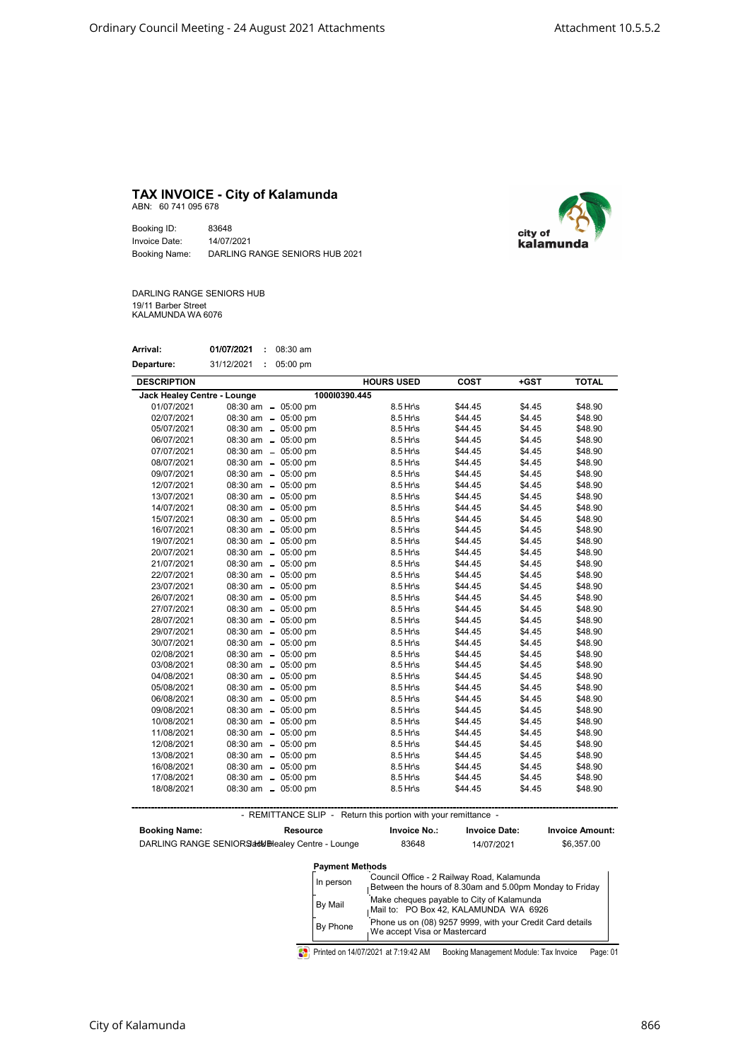## TAX INVOICE - City of Kalamunda

ABN: 60 741 095 678

Booking ID: 83648 Invoice Date: 14/07/2021 Booking Name: DARLING RANGE SENIORS HUB 2021



DARLING RANGE SENIORS HUB 19/11 Barber Street KALAMUNDA WA 6076

| Arrival:   | 01/07/2021 | 08:30 am |
|------------|------------|----------|
| Departure: | 31/12/2021 | 05:00 pm |

| <b>DESCRIPTION</b>          |                        | <b>HOURS USED</b> | <b>COST</b> | +GST   | <b>TOTAL</b> |
|-----------------------------|------------------------|-------------------|-------------|--------|--------------|
| Jack Healey Centre - Lounge | 100010390.445          |                   |             |        |              |
| 01/07/2021                  | 08:30 am - 05:00 pm    | 8.5 Hr\s          | \$44.45     | \$4.45 | \$48.90      |
| 02/07/2021                  | $08:30$ am $-05:00$ pm | 8.5 Hr\s          | \$44.45     | \$4.45 | \$48.90      |
| 05/07/2021                  | 08:30 am - 05:00 pm    | $8.5$ Hr\s        | \$44.45     | \$4.45 | \$48.90      |
| 06/07/2021                  | $08:30$ am $-05:00$ pm | $8.5$ Hr\s        | \$44.45     | \$4.45 | \$48.90      |
| 07/07/2021                  | 08:30 am - 05:00 pm    | $8.5$ Hr\s        | \$44.45     | \$4.45 | \$48.90      |
| 08/07/2021                  | 08:30 am - 05:00 pm    | $8.5$ Hr\s        | \$44.45     | \$4.45 | \$48.90      |
| 09/07/2021                  | 08:30 am - 05:00 pm    | $8.5$ Hr\s        | \$44.45     | \$4.45 | \$48.90      |
| 12/07/2021                  | 08:30 am - 05:00 pm    | $8.5$ Hr\s        | \$44.45     | \$4.45 | \$48.90      |
| 13/07/2021                  | 08:30 am - 05:00 pm    | $8.5$ Hr\s        | \$44.45     | \$4.45 | \$48.90      |
| 14/07/2021                  | 08:30 am - 05:00 pm    | $8.5$ Hr\s        | \$44.45     | \$4.45 | \$48.90      |
| 15/07/2021                  | 08:30 am - 05:00 pm    | $8.5$ Hr\s        | \$44.45     | \$4.45 | \$48.90      |
| 16/07/2021                  | 08:30 am - 05:00 pm    | $8.5$ Hr\s        | \$44.45     | \$4.45 | \$48.90      |
| 19/07/2021                  | 08:30 am - 05:00 pm    | $8.5$ Hr\s        | \$44.45     | \$4.45 | \$48.90      |
| 20/07/2021                  | 08:30 am - 05:00 pm    | $8.5$ Hr\s        | \$44.45     | \$4.45 | \$48.90      |
| 21/07/2021                  | $08:30$ am $-05:00$ pm | $8.5$ Hr\s        | \$44.45     | \$4.45 | \$48.90      |
| 22/07/2021                  | 08:30 am - 05:00 pm    | $8.5$ Hr\s        | \$44.45     | \$4.45 | \$48.90      |
| 23/07/2021                  | 08:30 am - 05:00 pm    | $8.5$ Hr\s        | \$44.45     | \$4.45 | \$48.90      |
| 26/07/2021                  | $08:30$ am $-05:00$ pm | $8.5$ Hr\s        | \$44.45     | \$4.45 | \$48.90      |
| 27/07/2021                  | $08:30$ am $-05:00$ pm | $8.5$ Hr\s        | \$44.45     | \$4.45 | \$48.90      |
| 28/07/2021                  | 08:30 am - 05:00 pm    | $8.5$ Hr\s        | \$44.45     | \$4.45 | \$48.90      |
| 29/07/2021                  | 08:30 am - 05:00 pm    | $8.5$ Hr\s        | \$44.45     | \$4.45 | \$48.90      |
| 30/07/2021                  | 08:30 am - 05:00 pm    | $8.5$ Hr\s        | \$44.45     | \$4.45 | \$48.90      |
| 02/08/2021                  | 08:30 am - 05:00 pm    | $8.5$ Hr\s        | \$44.45     | \$4.45 | \$48.90      |
| 03/08/2021                  | 08:30 am - 05:00 pm    | $8.5$ Hr\s        | \$44.45     | \$4.45 | \$48.90      |
| 04/08/2021                  | 08:30 am - 05:00 pm    | $8.5$ Hr\s        | \$44.45     | \$4.45 | \$48.90      |
| 05/08/2021                  | 08:30 am - 05:00 pm    | $8.5$ Hr\s        | \$44.45     | \$4.45 | \$48.90      |
| 06/08/2021                  | 08:30 am - 05:00 pm    | $8.5$ Hr\s        | \$44.45     | \$4.45 | \$48.90      |
| 09/08/2021                  | 08:30 am - 05:00 pm    | $8.5$ Hr\s        | \$44.45     | \$4.45 | \$48.90      |
| 10/08/2021                  | 08:30 am - 05:00 pm    | $8.5$ Hr\s        | \$44.45     | \$4.45 | \$48.90      |
| 11/08/2021                  | $08:30$ am $-05:00$ pm | $8.5$ Hr\s        | \$44.45     | \$4.45 | \$48.90      |
| 12/08/2021                  | 08:30 am - 05:00 pm    | $8.5$ Hr\s        | \$44.45     | \$4.45 | \$48.90      |
| 13/08/2021                  | 08:30 am - 05:00 pm    | $8.5$ Hr\s        | \$44.45     | \$4.45 | \$48.90      |
| 16/08/2021                  | 08:30 am - 05:00 pm    | $8.5$ Hr\s        | \$44.45     | \$4.45 | \$48.90      |
| 17/08/2021                  | $08:30$ am $-05:00$ pm | $8.5$ Hr\s        | \$44.45     | \$4.45 | \$48.90      |
| 18/08/2021                  | 08:30 am - 05:00 pm    | 8.5 Hr\s          | \$44.45     | \$4.45 | \$48.90      |

- REMITTANCE SLIP - Return this portion with your remittance -

Booking Name: DARLING RANGE SENIORS and Bealey Centre - Lounge Invoice No.: 83648 Invoice Date: \$6,357.00 Invoice Amount: 14/07/2021 In person Council Office - 2 Railway Road, Kalamunda<br>In person Between the bours of 8 30am and 5 00pm M Between the hours of 8.30am and 5.00pm Monday to Friday By Mail Make cheques payable to City of Kalamunda<br>Mail to: PO Box 42, KALAMUNDA WA 6926 Phone us on (08) 9257 9999, with your Credit Card details We accept Visa or Mastercard Payment Methods Resource By Phone

Printed on 14/07/2021 at 7:19:42 AM Booking Management Module: Tax Invoice Page: 01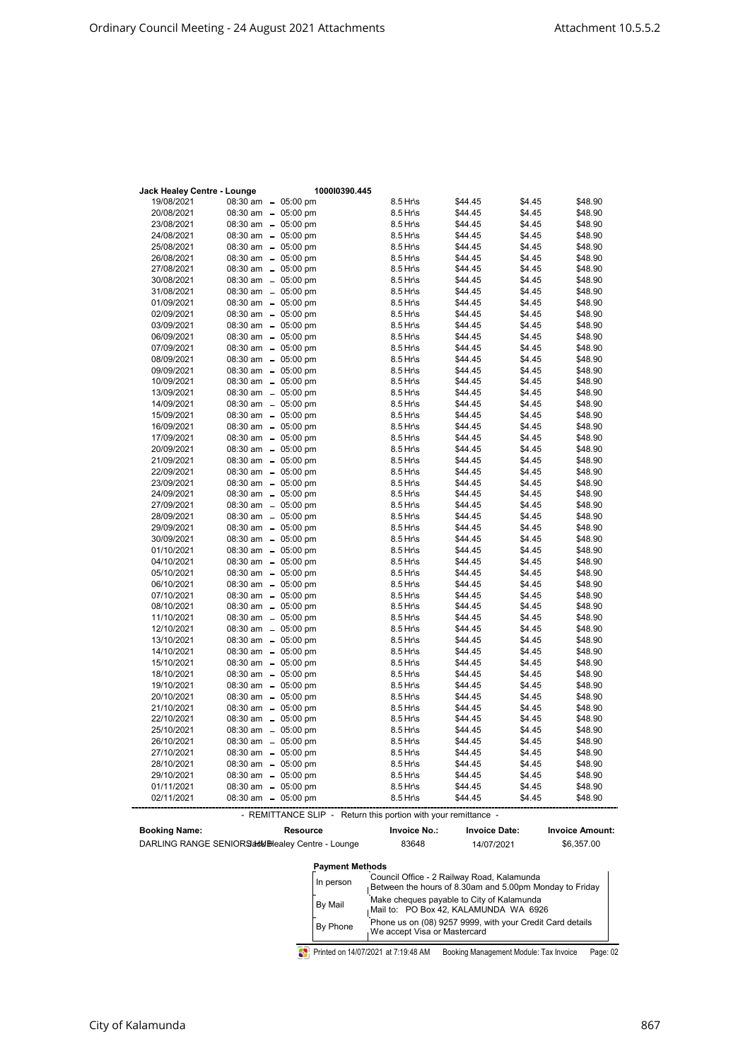| Jack Healey Centre - Lounge |                                            | 100010390.445 |                        |                    |                  |                    |
|-----------------------------|--------------------------------------------|---------------|------------------------|--------------------|------------------|--------------------|
| 19/08/2021                  | 08:30 am - 05:00 pm                        |               | 8.5 Hr\s               | \$44.45            | \$4.45           | \$48.90            |
| 20/08/2021                  | 08:30 am - 05:00 pm                        |               | 8.5 Hr\s               | \$44.45            | \$4.45           | \$48.90            |
| 23/08/2021                  | 08:30 am - 05:00 pm                        |               | 8.5 Hr\s               | \$44.45            | \$4.45           | \$48.90            |
| 24/08/2021                  | 08:30 am - 05:00 pm                        |               | 8.5 Hr\s               | \$44.45            | \$4.45           | \$48.90            |
| 25/08/2021                  | 08:30 am - 05:00 pm                        |               | 8.5 Hr\s               | \$44.45            | \$4.45           | \$48.90            |
| 26/08/2021                  | 08:30 am - 05:00 pm                        |               | 8.5 Hr\s               | \$44.45            | \$4.45           | \$48.90            |
| 27/08/2021                  | 08:30 am - 05:00 pm                        |               | 8.5 Hr\s               | \$44.45            | \$4.45           | \$48.90            |
| 30/08/2021                  | 08:30 am - 05:00 pm                        |               | 8.5 Hr\s               | \$44.45            | \$4.45           | \$48.90            |
| 31/08/2021                  | 08:30 am - 05:00 pm                        |               | 8.5 Hr\s               | \$44.45            | \$4.45           | \$48.90            |
| 01/09/2021                  | 08:30 am - 05:00 pm                        |               | 8.5 Hr\s               | \$44.45            | \$4.45           | \$48.90            |
| 02/09/2021                  | 08:30 am - 05:00 pm                        |               | 8.5 Hr\s               | \$44.45            | \$4.45           | \$48.90            |
| 03/09/2021                  | 08:30 am - 05:00 pm                        |               | 8.5 Hr\s               | \$44.45            | \$4.45           | \$48.90            |
| 06/09/2021                  | 08:30 am - 05:00 pm                        |               | 8.5 Hr\s               | \$44.45            | \$4.45           | \$48.90            |
| 07/09/2021                  | 08:30 am - 05:00 pm                        |               | 8.5 Hr\s               | \$44.45            | \$4.45           | \$48.90            |
| 08/09/2021                  | 08:30 am - 05:00 pm                        |               | 8.5 Hr\s               | \$44.45            | \$4.45           | \$48.90            |
| 09/09/2021                  | 08:30 am - 05:00 pm                        |               | 8.5 Hr\s               | \$44.45            | \$4.45           | \$48.90            |
| 10/09/2021                  | 08:30 am - 05:00 pm                        |               | 8.5 Hr\s               | \$44.45            | \$4.45           | \$48.90            |
| 13/09/2021                  | 08:30 am - 05:00 pm                        |               | 8.5 Hr\s               | \$44.45            | \$4.45           | \$48.90            |
| 14/09/2021                  | 08:30 am - 05:00 pm                        |               | 8.5 Hr\s               | \$44.45            | \$4.45           | \$48.90            |
| 15/09/2021                  | 08:30 am - 05:00 pm                        |               | 8.5 Hr\s               | \$44.45            | \$4.45           | \$48.90            |
| 16/09/2021                  | 08:30 am - 05:00 pm                        |               | 8.5 Hr\s               | \$44.45            | \$4.45           | \$48.90            |
| 17/09/2021                  | 08:30 am - 05:00 pm                        |               | 8.5 Hr\s               | \$44.45            | \$4.45           | \$48.90            |
| 20/09/2021                  | 08:30 am - 05:00 pm                        |               | $8.5$ Hr\s             | \$44.45            | \$4.45           | \$48.90            |
| 21/09/2021                  | 08:30 am - 05:00 pm                        |               | 8.5 Hr\s               | \$44.45            | \$4.45           | \$48.90            |
| 22/09/2021                  | 08:30 am - 05:00 pm                        |               | 8.5 Hr\s               | \$44.45            | \$4.45           | \$48.90            |
| 23/09/2021                  | 08:30 am - 05:00 pm                        |               | 8.5 Hr\s               | \$44.45            | \$4.45           | \$48.90            |
| 24/09/2021                  | 08:30 am - 05:00 pm                        |               | 8.5 Hr\s               | \$44.45            | \$4.45           | \$48.90            |
| 27/09/2021                  | 08:30 am - 05:00 pm                        |               | 8.5 Hr\s               | \$44.45            | \$4.45           | \$48.90            |
| 28/09/2021                  | 08:30 am - 05:00 pm                        |               | 8.5 Hr\s               | \$44.45            | \$4.45           | \$48.90            |
| 29/09/2021                  | 08:30 am - 05:00 pm                        |               | 8.5 Hr\s               | \$44.45            | \$4.45           | \$48.90            |
| 30/09/2021                  | 08:30 am - 05:00 pm                        |               | 8.5 Hr\s               | \$44.45            | \$4.45           | \$48.90            |
| 01/10/2021                  | 08:30 am - 05:00 pm                        |               | 8.5 Hr\s               | \$44.45            | \$4.45           | \$48.90            |
| 04/10/2021                  | 08:30 am - 05:00 pm                        |               | 8.5 Hr\s               | \$44.45            | \$4.45           | \$48.90            |
| 05/10/2021                  | 08:30 am - 05:00 pm                        |               | 8.5 Hr\s               | \$44.45            | \$4.45           | \$48.90            |
| 06/10/2021                  | 08:30 am - 05:00 pm                        |               | 8.5 Hr\s               | \$44.45            | \$4.45           | \$48.90            |
| 07/10/2021                  | 08:30 am - 05:00 pm                        |               | 8.5 Hr\s               | \$44.45            | \$4.45           | \$48.90            |
| 08/10/2021                  | 08:30 am - 05:00 pm                        |               | $8.5$ Hr\s             | \$44.45            | \$4.45           | \$48.90            |
| 11/10/2021                  | 08:30 am - 05:00 pm                        |               | 8.5 Hr\s               | \$44.45            | \$4.45           | \$48.90            |
| 12/10/2021                  | 08:30 am - 05:00 pm                        |               | 8.5 Hr\s               | \$44.45            | \$4.45           | \$48.90            |
| 13/10/2021                  | 08:30 am - 05:00 pm                        |               | 8.5 Hr\s               | \$44.45            | \$4.45           | \$48.90            |
| 14/10/2021                  | 08:30 am - 05:00 pm                        |               | 8.5 Hr\s               | \$44.45            | \$4.45           | \$48.90            |
| 15/10/2021                  | 08:30 am - 05:00 pm                        |               | 8.5 Hr\s               | \$44.45            | \$4.45           | \$48.90            |
| 18/10/2021                  | 08:30 am - 05:00 pm                        |               | 8.5 Hr\s               | \$44.45            | \$4.45           | \$48.90            |
| 19/10/2021                  | 08:30 am - 05:00 pm                        |               | 8.5 Hr\s               | \$44.45            | \$4.45           | \$48.90            |
| 20/10/2021                  | 08:30 am - 05:00 pm                        |               | 8.5 Hr\s               | \$44.45            | \$4.45           | \$48.90            |
| 21/10/2021                  | 08:30 am - 05:00 pm                        |               | $8.5$ Hr\s             | \$44.45            | \$4.45           | \$48.90            |
| 22/10/2021<br>25/10/2021    | 08:30 am - 05:00 pm                        |               | 8.5 Hr\s<br>$8.5$ Hr\s | \$44.45<br>\$44.45 | \$4.45<br>\$4.45 | \$48.90<br>\$48.90 |
| 26/10/2021                  | 08:30 am - 05:00 pm<br>08:30 am - 05:00 pm |               |                        |                    | \$4.45           | \$48.90            |
| 27/10/2021                  | 08:30 am - 05:00 pm                        |               | 8.5 Hr\s<br>8.5 Hr\s   | \$44.45<br>\$44.45 | \$4.45           | \$48.90            |
| 28/10/2021                  |                                            |               | $8.5$ Hr\s             |                    | \$4.45           | \$48.90            |
|                             | 08:30 am - 05:00 pm                        |               |                        | \$44.45            |                  |                    |
| 29/10/2021                  | 08:30 am - 05:00 pm<br>08:30 am - 05:00 pm |               | 8.5 Hr\s<br>8.5 Hr\s   | \$44.45            | \$4.45           | \$48.90            |
| 01/11/2021<br>02/11/2021    |                                            |               | 8.5 Hr\s               | \$44.45<br>\$44.45 | \$4.45<br>\$4.45 | \$48.90<br>\$48.90 |
|                             | 08:30 am - 05:00 pm                        |               |                        |                    |                  |                    |

- REMITTANCE SLIP - Return this portion with your remittance -

| <b>Booking Name:</b> | Resource                                          | <b>Invoice No.:</b>                                                                                   | <b>Invoice Date:</b> | <b>Invoice Amount:</b> |
|----------------------|---------------------------------------------------|-------------------------------------------------------------------------------------------------------|----------------------|------------------------|
|                      | DARLING RANGE SENIORS add Breadey Centre - Lounge | 83648                                                                                                 | 14/07/2021           | \$6,357.00             |
|                      | <b>Payment Methods</b>                            |                                                                                                       |                      |                        |
|                      | In person                                         | Council Office - 2 Railway Road, Kalamunda<br>Between the hours of 8.30am and 5.00pm Monday to Friday |                      |                        |
|                      | <b>Ry Mail</b>                                    | Make cheques payable to City of Kalamunda                                                             |                      |                        |

| By Mail  | Make cheques payable to City of Kalamunda<br>Mail to: PO Box 42, KALAMUNDA WA 6926        |  |
|----------|-------------------------------------------------------------------------------------------|--|
| By Phone | Phone us on (08) 9257 9999, with your Credit Card details<br>We accept Visa or Mastercard |  |

Printed on 14/07/2021 at 7:19:48 AM Booking Management Module: Tax Invoice Page: 02